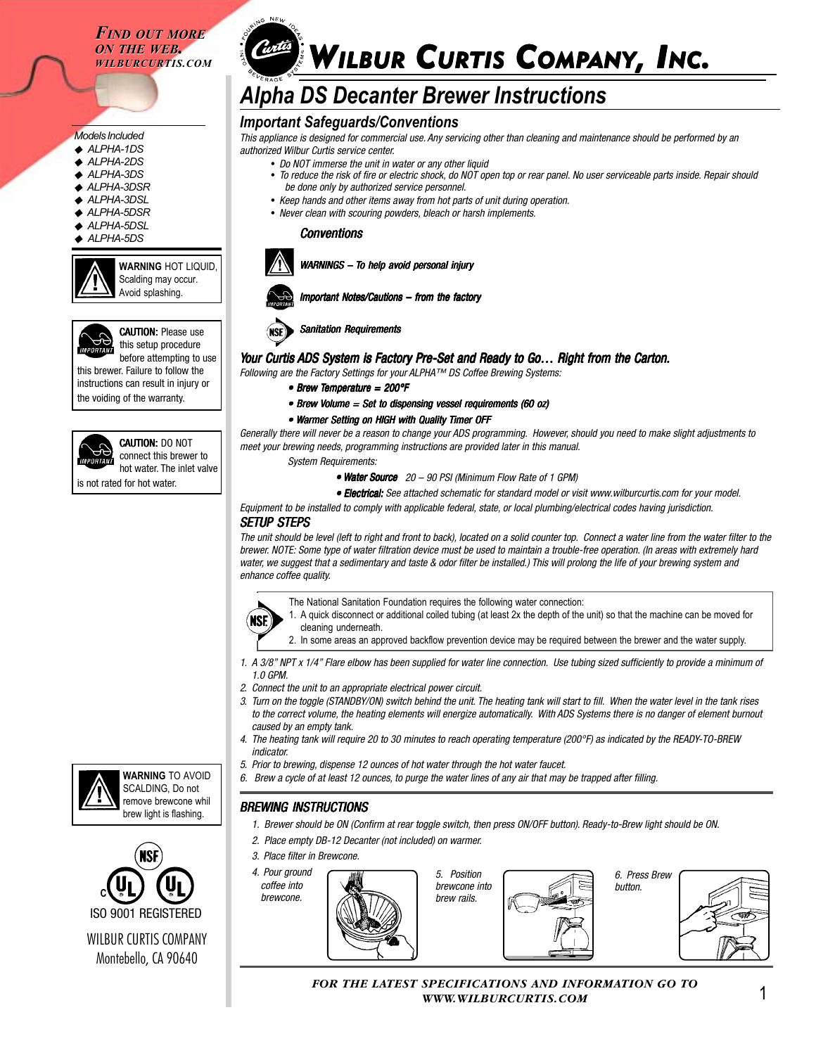*FIND OUT MORE FIND OUT MORE ON THE WEB. ON THE WEB. WILBURCURTIS.COM*

#### *Models Included* ◆ *ALPHA-1DS*

- 
- ◆ *ALPHA-2DS* ◆ *ALPHA-3DS*
- 
- ◆ *ALPHA-3DSR*
- ◆ *ALPHA-3DSL*
- ◆ *ALPHA-5DSR*
- ◆ *ALPHA-5DSL*
- ◆ *ALPHA-5DS*



**WARNING** HOT LIQUID, Scalding may occur. Avoid splashing.



**CAUTION: Please use** this setup procedure before attempting to use

this brewer. Failure to follow the instructions can result in injury or the voiding of the warranty.



CAUTION: DO NOT connect this brewer to hot water. The inlet valve

is not rated for hot water.



# *Alpha DS Decanter Brewer Instructions*

## *Important Safeguards/Conventions*

*This appliance is designed for commercial use. Any servicing other than cleaning and maintenance should be performed by an authorized Wilbur Curtis service center.*

- *Do NOT immerse the unit in water or any other liquid*
	- *To reduce the risk of fire or electric shock, do NOT open top or rear panel. No user serviceable parts inside. Repair should be done only by authorized service personnel.*
	- *Keep hands and other items away from hot parts of unit during operation.*
	- *Never clean with scouring powders, bleach or harsh implements.*

#### *Conventions*



# *WARNINGS – ARNINGS – To help avoid personal injury*



*Sanitation Requirements*

### *Your Curtis our ADS System is Factory Pre-Set and Ready to Go… Right from the Carton. y to Go… Right from*

*Following are the Factory Settings for your ALPHA™ DS Coffee Brewing Systems:*

*• Brew Temperature = 200°F*

*• Brew Volume = Set to dispensing vessel requirements (60 oz) olume = dispensing requirements (60* 

#### • Warmer Setting on HIGH with Quality Timer OFF

*Generally there will never be a reason to change your ADS programming. However, should you need to make slight adjustments to meet your brewing needs, programming instructions are provided later in this manual.*

*System Requirements:*

- Water Source 20 90 PSI (Minimum Flow Rate of 1 GPM)
- *Electrical: Electrical: Electrical:See attached schematic for standard model or visit www.wilburcurtis.com for your model.*

*Equipment to be installed to comply with applicable federal, state, or local plumbing/electrical codes having jurisdiction.*

#### *SETUP STEPS*

*The unit should be level (left to right and front to back), located on a solid counter top. Connect a water line from the water filter to the brewer. NOTE: Some type of water filtration device must be used to maintain a trouble-free operation. (In areas with extremely hard water, we suggest that a sedimentary and taste & odor filter be installed.) This will prolong the life of your brewing system and enhance coffee quality.*



- The National Sanitation Foundation requires the following water connection:
- **NSE**
- 1. A quick disconnect or additional coiled tubing (at least 2x the depth of the unit) so that the machine can be moved for cleaning underneath.
	- 2. In some areas an approved backflow prevention device may be required between the brewer and the water supply.
- *1. A 3/8" NPT x 1/4" Flare elbow has been supplied for water line connection. Use tubing sized sufficiently to provide a minimum of 1.0 GPM.*
- *2. Connect the unit to an appropriate electrical power circuit.*
- *3. Turn on the toggle (STANDBY/ON) switch behind the unit. The heating tank will start to fill. When the water level in the tank rises to the correct volume, the heating elements will energize automatically. With ADS Systems there is no danger of element burnout caused by an empty tank.*
- *4. The heating tank will require 20 to 30 minutes to reach operating temperature (200°F) as indicated by the READY-TO-BREW indicator.*
- *5. Prior to brewing, dispense 12 ounces of hot water through the hot water faucet.*
- *6. Brew a cycle of at least 12 ounces, to purge the water lines of any air that may be trapped after filling.*

### *BREWING INSTRUCTIONS*

- *1. Brewer should be ON (Confirm at rear toggle switch, then press ON/OFF button). Ready-to-Brew light should be ON.*
- *2. Place empty DB-12 Decanter (not included) on warmer.*
- *3. Place filter in Brewcone.*



*FOR THE LATEST SPECIFICATIONS AND INFORMATION GO TO WWW.WILBURCURTIS.COM*





WILBUR CURTIS COMPANY ISO 9001 REGISTERED

Montebello, CA 90640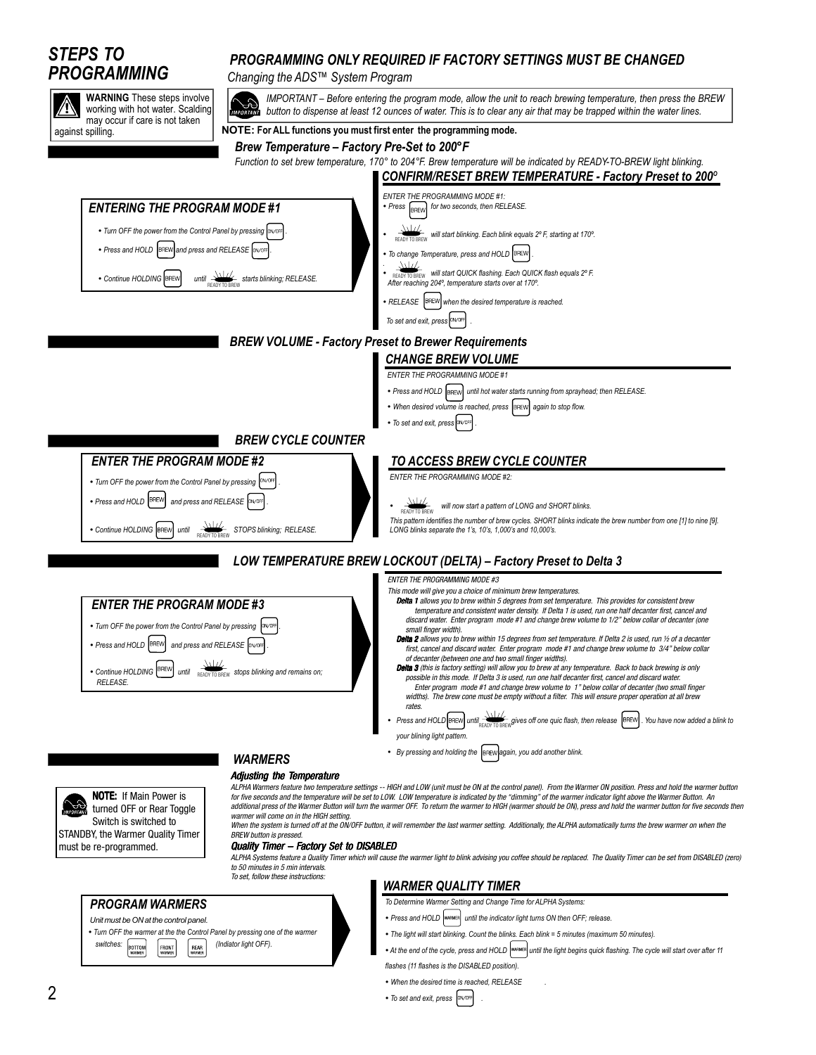

• *To set and exit, press* **.** *DN/OFF*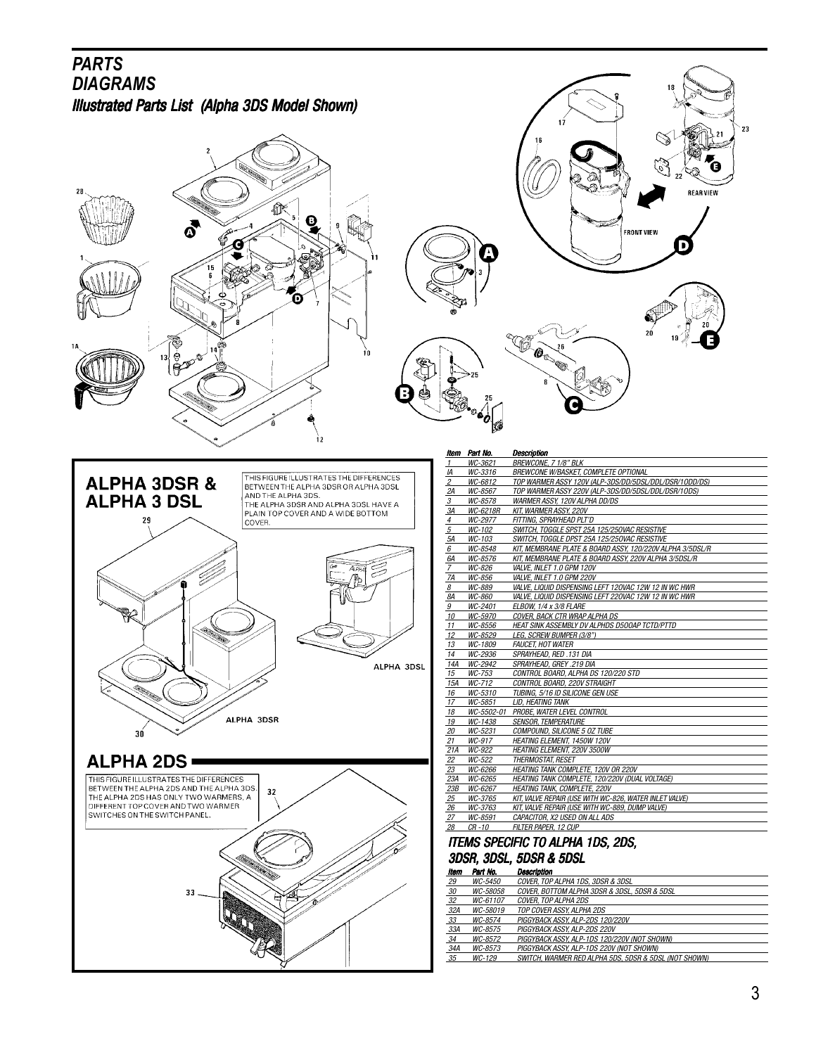

3